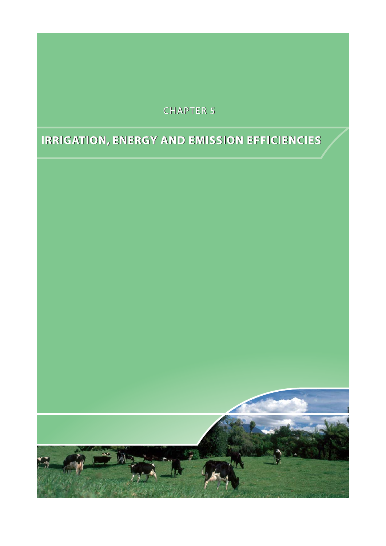## **CHAPTER 5**

# **IRRIGATION, ENERGY AND EMISSION EFFICIENCIES**

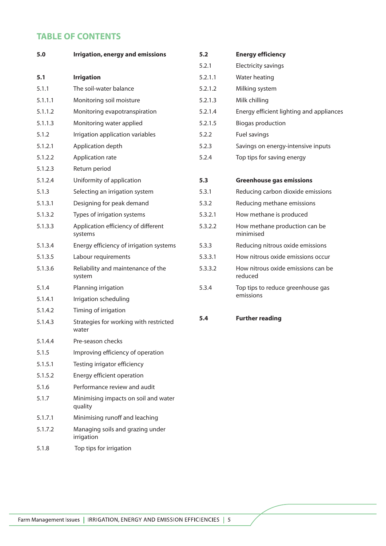## **TABLE OF CONTENTS**

| 5.0     | <b>Irrigation, energy and emissions</b>         | 5.2     | <b>Energy efficiency</b>                      |
|---------|-------------------------------------------------|---------|-----------------------------------------------|
|         |                                                 | 5.2.1   | Electricity savings                           |
| 5.1     | <b>Irrigation</b>                               | 5.2.1.1 | Water heating                                 |
| 5.1.1   | The soil-water balance                          | 5.2.1.2 | Milking system                                |
| 5.1.1.1 | Monitoring soil moisture                        | 5.2.1.3 | Milk chilling                                 |
| 5.1.1.2 | Monitoring evapotranspiration                   | 5.2.1.4 | Energy efficient lighting and appliances      |
| 5.1.1.3 | Monitoring water applied                        | 5.2.1.5 | <b>Biogas production</b>                      |
| 5.1.2   | Irrigation application variables                | 5.2.2   | Fuel savings                                  |
| 5.1.2.1 | Application depth                               | 5.2.3   | Savings on energy-intensive inputs            |
| 5.1.2.2 | Application rate                                | 5.2.4   | Top tips for saving energy                    |
| 5.1.2.3 | Return period                                   |         |                                               |
| 5.1.2.4 | Uniformity of application                       | 5.3     | <b>Greenhouse gas emissions</b>               |
| 5.1.3   | Selecting an irrigation system                  | 5.3.1   | Reducing carbon dioxide emissions             |
| 5.1.3.1 | Designing for peak demand                       | 5.3.2   | Reducing methane emissions                    |
| 5.1.3.2 | Types of irrigation systems                     | 5.3.2.1 | How methane is produced                       |
| 5.1.3.3 | Application efficiency of different<br>systems  | 5.3.2.2 | How methane production can be<br>minimised    |
| 5.1.3.4 | Energy efficiency of irrigation systems         | 5.3.3   | Reducing nitrous oxide emissions              |
| 5.1.3.5 | Labour requirements                             | 5.3.3.1 | How nitrous oxide emissions occur             |
| 5.1.3.6 | Reliability and maintenance of the<br>system    | 5.3.3.2 | How nitrous oxide emissions can be<br>reduced |
| 5.1.4   | Planning irrigation                             | 5.3.4   | Top tips to reduce greenhouse gas             |
| 5.1.4.1 | Irrigation scheduling                           |         | emissions                                     |
| 5.1.4.2 | Timing of irrigation                            |         |                                               |
| 5.1.4.3 | Strategies for working with restricted<br>water | 5.4     | <b>Further reading</b>                        |
| 5.1.4.4 | Pre-season checks                               |         |                                               |
| 5.1.5   | Improving efficiency of operation               |         |                                               |
| 5.1.5.1 | Testing irrigator efficiency                    |         |                                               |
| 5.1.5.2 | Energy efficient operation                      |         |                                               |
| 5.1.6   | Performance review and audit                    |         |                                               |
| 5.1.7   | Minimising impacts on soil and water<br>quality |         |                                               |
| 5.1.7.1 | Minimising runoff and leaching                  |         |                                               |
| 5.1.7.2 | Managing soils and grazing under<br>irrigation  |         |                                               |
| 5.1.8   | Top tips for irrigation                         |         |                                               |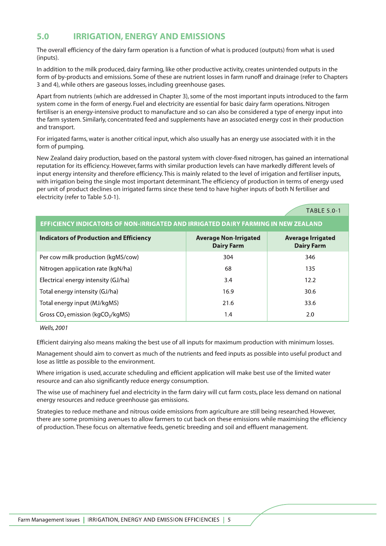## **5.0 IRRIGATION, ENERGY AND EMISSIONS**

The overall efficiency of the dairy farm operation is a function of what is produced (outputs) from what is used (inputs).

In addition to the milk produced, dairy farming, like other productive activity, creates unintended outputs in the form of by-products and emissions. Some of these are nutrient losses in farm runoff and drainage (refer to Chapters 3 and 4), while others are gaseous losses, including greenhouse gases.

Apart from nutrients (which are addressed in Chapter 3), some of the most important inputs introduced to the farm system come in the form of energy. Fuel and electricity are essential for basic dairy farm operations. Nitrogen fertiliser is an energy-intensive product to manufacture and so can also be considered a type of energy input into the farm system. Similarly, concentrated feed and supplements have an associated energy cost in their production and transport.

For irrigated farms, water is another critical input, which also usually has an energy use associated with it in the form of pumping.

New Zealand dairy production, based on the pastoral system with clover-fixed nitrogen, has gained an international reputation for its efficiency. However, farms with similar production levels can have markedly different levels of input energy intensity and therefore efficiency. This is mainly related to the level of irrigation and fertiliser inputs, with irrigation being the single most important determinant. The efficiency of production in terms of energy used per unit of product declines on irrigated farms since these tend to have higher inputs of both N fertiliser and electricity (refer to Table 5.0-1).

**TABLE 5.0-1** 

| EFFICIENCY INDICATORS OF NON-IRRIGATED AND IRRIGATED DAIRY FARMING IN NEW ZEALAND |
|-----------------------------------------------------------------------------------|
|-----------------------------------------------------------------------------------|

| <b>Indicators of Production and Efficiency</b>  | <b>Average Non-Irrigated</b><br><b>Dairy Farm</b> | <b>Average Irrigated</b><br><b>Dairy Farm</b> |
|-------------------------------------------------|---------------------------------------------------|-----------------------------------------------|
| Per cow milk production (kgMS/cow)              | 304                                               | 346                                           |
| Nitrogen application rate (kgN/ha)              | 68                                                | 135                                           |
| Electrical energy intensity (GJ/ha)             | 3.4                                               | 12.2                                          |
| Total energy intensity (GJ/ha)                  | 16.9                                              | 30.6                                          |
| Total energy input (MJ/kgMS)                    | 21.6                                              | 33.6                                          |
| Gross $CO_2$ emission (kgCO <sub>2</sub> /kgMS) | 1.4                                               | 2.0                                           |

Wells, 2001

Efficient dairying also means making the best use of all inputs for maximum production with minimum losses.

Management should aim to convert as much of the nutrients and feed inputs as possible into useful product and lose as little as possible to the environment.

Where irrigation is used, accurate scheduling and efficient application will make best use of the limited water resource and can also significantly reduce energy consumption.

The wise use of machinery fuel and electricity in the farm dairy will cut farm costs, place less demand on national energy resources and reduce greenhouse gas emissions.

Strategies to reduce methane and nitrous oxide emissions from agriculture are still being researched. However, there are some promising avenues to allow farmers to cut back on these emissions while maximising the efficiency of production. These focus on alternative feeds, genetic breeding and soil and effluent management.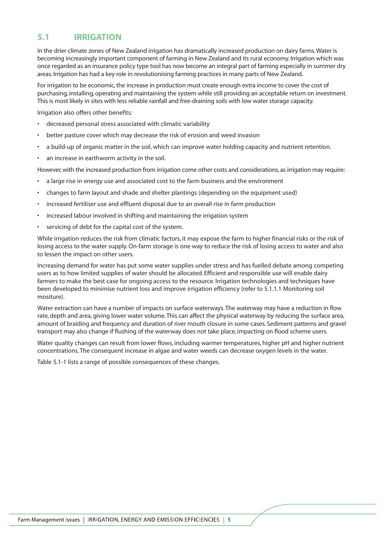## **5.1 IRRIGATION**

In the drier climate zones of New Zealand irrigation has dramatically increased production on dairy farms.Water is becoming increasingly important component of farming in New Zealand and its rural economy. Irrigation which was once regarded as an insurance policy type tool has now become an integral part of farming especially in summer dry areas. Irrigation has had a key role in revolutionising farming practices in many parts of New Zealand.

For irrigation to be economic, the increase in production must create enough extra income to cover the cost of purchasing, installing, operating and maintaining the system while still providing an acceptable return on investment. This is most likely in sites with less reliable rainfall and free-draining soils with low water storage capacity.

Irrigation also offers other benefits:

- decreased personal stress associated with climatic variability
- better pasture cover which may decrease the risk of erosion and weed invasion
- a build-up of organic matter in the soil, which can improve water holding capacity and nutrient retention.
- an increase in earthworm activity in the soil.

However, with the increased production from irrigation come other costs and considerations, as irrigation may require:

- a large rise in energy use and associated cost to the farm business and the environment
- changes to farm layout and shade and shelter plantings (depending on the equipment used)
- increased fertiliser use and effluent disposal due to an overall rise in farm production
- increased labour involved in shifting and maintaining the irrigation system
- servicing of debt for the capital cost of the system.

While irrigation reduces the risk from climatic factors, it may expose the farm to higher financial risks or the risk of losing access to the water supply. On-farm storage is one way to reduce the risk of losing access to water and also to lessen the impact on other users.

Increasing demand for water has put some water supplies under stress and has fuelled debate among competing users as to how limited supplies of water should be allocated. Efficient and responsible use will enable dairy farmers to make the best case for ongoing access to the resource. Irrigation technologies and techniques have been developed to minimise nutrient loss and improve irrigation efficiency (refer to 5.1.1.1 Monitoring soil mositure).

Water extraction can have a number of impacts on surface waterways. The waterway may have a reduction in flow rate, depth and area, giving lower water volume. This can affect the physical waterway by reducing the surface area, amount of braiding and frequency and duration of river mouth closure in some cases. Sediment patterns and gravel transport may also change if flushing of the waterway does not take place, impacting on flood scheme users.

Water quality changes can result from lower flows, including warmer temperatures, higher pH and higher nutrient concentrations. The consequent increase in algae and water weeds can decrease oxygen levels in the water.

Table 5.1-1 lists a range of possible consequences of these changes.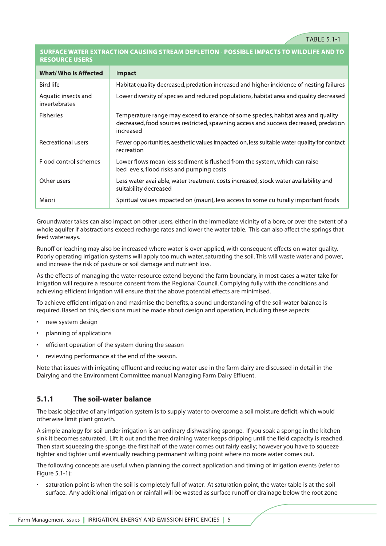#### SURFACE WATER EXTRACTION CAUSING STREAM DEPLETION - POSSIBLE IMPACTS TO WILDLIFE AND TO **RESOURCE USERS**

| <b>What/ Who Is Affected</b>         | <b>Impact</b>                                                                                                                                                                         |
|--------------------------------------|---------------------------------------------------------------------------------------------------------------------------------------------------------------------------------------|
| Bird life                            | Habitat quality decreased, predation increased and higher incidence of nesting failures                                                                                               |
| Aquatic insects and<br>invertebrates | Lower diversity of species and reduced populations, habitat area and quality decreased                                                                                                |
| <b>Fisheries</b>                     | Temperature range may exceed tolerance of some species, habitat area and quality<br>decreased, food sources restricted, spawning access and success decreased, predation<br>increased |
| Recreational users                   | Fewer opportunities, aesthetic values impacted on, less suitable water quality for contact<br>recreation                                                                              |
| Flood control schemes                | Lower flows mean less sediment is flushed from the system, which can raise<br>bed levels, flood risks and pumping costs                                                               |
| Other users                          | Less water available, water treatment costs increased, stock water availability and<br>suitability decreased                                                                          |
| Māori                                | Spiritual values impacted on (mauri), less access to some culturally important foods                                                                                                  |

Groundwater takes can also impact on other users, either in the immediate vicinity of a bore, or over the extent of a whole aquifer if abstractions exceed recharge rates and lower the water table. This can also affect the springs that feed waterways.

Runoff or leaching may also be increased where water is over-applied, with consequent effects on water quality. Poorly operating irrigation systems will apply too much water, saturating the soil. This will waste water and power, and increase the risk of pasture or soil damage and nutrient loss.

As the effects of managing the water resource extend beyond the farm boundary, in most cases a water take for irrigation will require a resource consent from the Regional Council. Complying fully with the conditions and achieving efficient irrigation will ensure that the above potential effects are minimised.

To achieve efficient irrigation and maximise the benefits, a sound understanding of the soil-water balance is required. Based on this, decisions must be made about design and operation, including these aspects:

- new system design
- planning of applications
- efficient operation of the system during the season
- reviewing performance at the end of the season.

Note that issues with irrigating effluent and reducing water use in the farm dairy are discussed in detail in the Dairying and the Environment Committee manual Managing Farm Dairy Effluent.

#### **5.1.1 The soil-water balance**

The basic objective of any irrigation system is to supply water to overcome a soil moisture deficit, which would otherwise limit plant growth.

A simple analogy for soil under irrigation is an ordinary dishwashing sponge. If you soak a sponge in the kitchen sink it becomes saturated. Lift it out and the free draining water keeps dripping until the field capacity is reached. Then start squeezing the sponge, the first half of the water comes out fairly easily; however you have to squeeze tighter and tighter until eventually reaching permanent wilting point where no more water comes out.

The following concepts are useful when planning the correct application and timing of irrigation events (refer to Figure 5.1-1):

• saturation point is when the soil is completely full of water. At saturation point, the water table is at the soil surface. Any additional irrigation or rainfall will be wasted as surface runoff or drainage below the root zone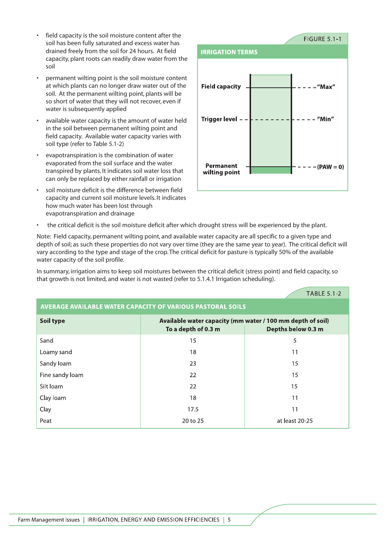- field capacity is the soil moisture content after the soil has been fully saturated and excess water has drained freely from the soil for 24 hours. At field capacity, plant roots can readily draw water from the soil
- permanent wilting point is the soil moisture content at which plants can no longer draw water out of the soil. At the permanent wilting point, plants will be so short of water that they will not recover, even if water is subsequently applied
- available water capacity is the amount of water held in the soil between permanent wilting point and field capacity. Available water capacity varies with soil type (refer to Table 5.1-2)
- evapotranspiration is the combination of water evaporated from the soil surface and the water transpired by plants. It indicates soil water loss that can only be replaced by either rainfall or irrigation
- soil moisture deficit is the difference between field capacity and current soil moisture levels. It indicates how much water has been lost through evapotranspiration and drainage



• the critical deficit is the soil moisture deficit after which drought stress will be experienced by the plant.

Note: Field capacity, permanent wilting point, and available water capacity are all specific to a given type and depth of soil; as such these properties do not vary over time (they are the same year to year). The critical deficit will vary according to the type and stage of the crop. The critical deficit for pasture is typically 50% of the available water capacity of the soil profile.

In summary, irrigation aims to keep soil moistures between the critical deficit (stress point) and field capacity, so that growth is not limited, and water is not wasted (refer to 5.1.4.1 Irrigation scheduling).

|                                                            |                                                                                                         | <b>TABLE 5.1-2</b> |  |
|------------------------------------------------------------|---------------------------------------------------------------------------------------------------------|--------------------|--|
| AVERAGE AVAILABLE WATER CAPACITY OF VARIOUS PASTORAL SOILS |                                                                                                         |                    |  |
| Soil type                                                  | Available water capacity (mm water / 100 mm depth of soil)<br>To a depth of 0.3 m<br>Depths below 0.3 m |                    |  |
| Sand                                                       | 15                                                                                                      | 5                  |  |
| Loamy sand                                                 | 18                                                                                                      | 11                 |  |
| Sandy loam                                                 | 23                                                                                                      | 15                 |  |
| Fine sandy loam                                            | 22                                                                                                      | 15                 |  |
| Silt loam                                                  | 22                                                                                                      | 15                 |  |
| Clay loam                                                  | 18                                                                                                      | 11                 |  |
| Clay                                                       | 17.5                                                                                                    | 11                 |  |
| Peat                                                       | 20 to 25                                                                                                | at least 20-25     |  |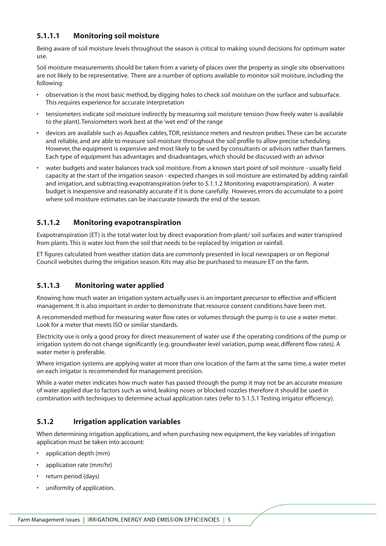## **5.1.1.1 Monitoring soil moisture**

Being aware of soil moisture levels throughout the season is critical to making sound decisions for optimum water use.

Soil moisture measurements should be taken from a variety of places over the property as single site observations are not likely to be representative. There are a number of options available to monitor soil moisture, including the following:

- observation is the most basic method, by digging holes to check soil moisture on the surface and subsurface. This requires experience for accurate interpretation
- tensiometers indicate soil moisture indirectly by measuring soil moisture tension (how freely water is available to the plant). Tensiometers work best at the 'wet end' of the range
- devices are available such as Aquaflex cables, TDR, resistance meters and neutron probes. These can be accurate and reliable, and are able to measure soil moisture throughout the soil profile to allow precise scheduling. However, the equipment is expensive and most likely to be used by consultants or advisors rather than farmers. Each type of equipment has advantages and disadvantages, which should be discussed with an advisor
- water budgets and water balances track soil moisture. From a known start point of soil moisture usually field capacity at the start of the irrigation season - expected changes in soil moisture are estimated by adding rainfall and irrigation, and subtracting evapotranspiration (refer to 5.1.1.2 Monitoring evapotranspiration). A water budget is inexpensive and reasonably accurate if it is done carefully. However, errors do accumulate to a point where soil moisture estimates can be inaccurate towards the end of the season.

## **5.1.1.2 Monitoring evapotranspiration**

Evapotranspiration (ET) is the total water lost by direct evaporation from plant/ soil surfaces and water transpired from plants. This is water lost from the soil that needs to be replaced by irrigation or rainfall.

ET figures calculated from weather station data are commonly presented in local newspapers or on Regional Council websites during the irrigation season. Kits may also be purchased to measure ET on the farm.

#### **5.1.1.3 Monitoring water applied**

Knowing how much water an irrigation system actually uses is an important precursor to effective and efficient management. It is also important in order to demonstrate that resource consent conditions have been met.

A recommended method for measuring water flow rates or volumes through the pump is to use a water meter. Look for a meter that meets ISO or similar standards.

Electricity use is only a good proxy for direct measurement of water use if the operating conditions of the pump or irrigation system do not change significantly (e.g. groundwater level variation, pump wear, different flow rates). A water meter is preferable.

Where irrigation systems are applying water at more than one location of the farm at the same time, a water meter on each irrigator is recommended for management precision.

While a water meter indicates how much water has passed through the pump it may not be an accurate measure of water applied due to factors such as wind, leaking noses or blocked nozzles therefore it should be used in combination with techniques to determine actual application rates (refer to 5.1.5.1 Testing irrigator efficiency).

#### **5.1.2 Irrigation application variables**

When determining irrigation applications, and when purchasing new equipment, the key variables of irrigation application must be taken into account:

- application depth (mm)
- application rate (mm/hr)
- return period (days)
- uniformity of application.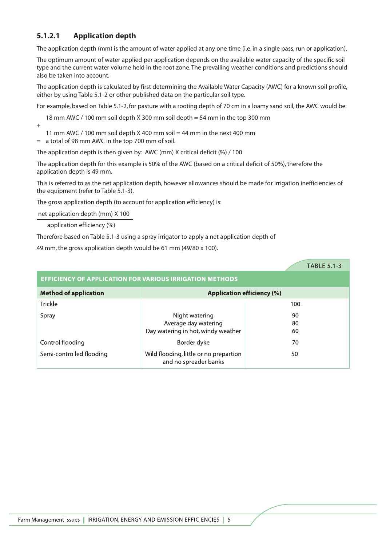## **5.1.2.1 Application depth**

The application depth (mm) is the amount of water applied at any one time (i.e. in a single pass, run or application).

The optimum amount of water applied per application depends on the available water capacity of the specific soil type and the current water volume held in the root zone. The prevailing weather conditions and predictions should also be taken into account.

The application depth is calculated by first determining the Available Water Capacity (AWC) for a known soil profile, either by using Table 5.1-2 or other published data on the particular soil type.

For example, based on Table 5.1-2, for pasture with a rooting depth of 70 cm in a loamy sand soil, the AWC would be:

18 mm AWC / 100 mm soil depth X 300 mm soil depth = 54 mm in the top 300 mm

+

11 mm AWC / 100 mm soil depth X 400 mm soil = 44 mm in the next 400 mm

= a total of 98 mm AWC in the top 700 mm of soil.

The application depth is then given by: AWC (mm) X critical deficit (%) / 100

The application depth for this example is 50% of the AWC (based on a critical deficit of 50%), therefore the application depth is 49 mm.

This is referred to as the net application depth, however allowances should be made for irrigation inefficiencies of the equipment (refer to Table 5.1-3).

The gross application depth (to account for application efficiency) is:

net application depth (mm) X 100

application efficiency (%)

Therefore based on Table 5.1-3 using a spray irrigator to apply a net application depth of

49 mm, the gross application depth would be 61 mm (49/80 x 100).

|                                                                   |                                                                 | <b>TABLE 5.1-3</b> |  |
|-------------------------------------------------------------------|-----------------------------------------------------------------|--------------------|--|
| <b>EFFICIENCY OF APPLICATION FOR VARIOUS IRRIGATION METHODS</b>   |                                                                 |                    |  |
| <b>Method of application</b><br><b>Application efficiency (%)</b> |                                                                 |                    |  |
| <b>Trickle</b>                                                    |                                                                 | 100                |  |
| Spray                                                             | Night watering                                                  | 90                 |  |
|                                                                   | Average day watering                                            | 80                 |  |
|                                                                   | Day watering in hot, windy weather                              | 60                 |  |
| Control flooding                                                  | Border dyke                                                     | 70                 |  |
| Semi-controlled flooding                                          | Wild flooding, little or no prepartion<br>and no spreader banks | 50                 |  |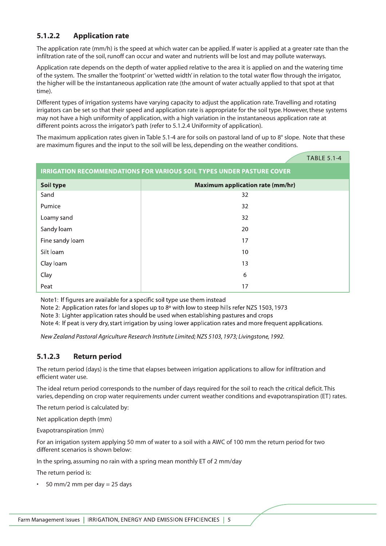## **5.1.2.2 Application rate**

The application rate (mm/h) is the speed at which water can be applied. If water is applied at a greater rate than the infiltration rate of the soil, runoff can occur and water and nutrients will be lost and may pollute waterways.

Application rate depends on the depth of water applied relative to the area it is applied on and the watering time of the system. The smaller the 'footprint' or 'wetted width' in relation to the total water flow through the irrigator, the higher will be the instantaneous application rate (the amount of water actually applied to that spot at that time).

Different types of irrigation systems have varying capacity to adjust the application rate. Travelling and rotating irrigators can be set so that their speed and application rate is appropriate for the soil type. However, these systems may not have a high uniformity of application, with a high variation in the instantaneous application rate at different points across the irrigator's path (refer to 5.1.2.4 Uniformity of application).

The maximum application rates given in Table 5.1-4 are for soils on pastoral land of up to 8° slope. Note that these are maximum figures and the input to the soil will be less, depending on the weather conditions.

|                                                                              | <b>TABLE 5.1-4</b>                      |  |
|------------------------------------------------------------------------------|-----------------------------------------|--|
| <b>IRRIGATION RECOMMENDATIONS FOR VARIOUS SOIL TYPES UNDER PASTURE COVER</b> |                                         |  |
| Soil type                                                                    | <b>Maximum application rate (mm/hr)</b> |  |
| Sand                                                                         | 32                                      |  |
| Pumice                                                                       | 32                                      |  |
| Loamy sand                                                                   | 32                                      |  |
| Sandy loam                                                                   | 20                                      |  |
| Fine sandy loam                                                              | 17                                      |  |
| Silt loam                                                                    | 10                                      |  |
| Clay loam                                                                    | 13                                      |  |
| Clay                                                                         | 6                                       |  |
| Peat                                                                         | 17                                      |  |

Note1: If figures are available for a specific soil type use them instead

Note 2: Application rates for land slopes up to 8 $\degree$  with low to steep hills refer NZS 1503, 1973

Note 3: Lighter application rates should be used when establishing pastures and crops

Note 4: If peat is very dry, start irrigation by using lower application rates and more frequent applications.

New Zealand Pastoral Agriculture Research Institute Limited; NZS 5103, 1973; Livingstone, 1992.

#### **5.1.2.3 Return period**

The return period (days) is the time that elapses between irrigation applications to allow for infiltration and efficient water use.

The ideal return period corresponds to the number of days required for the soil to reach the critical deficit. This varies, depending on crop water requirements under current weather conditions and evapotranspiration (ET) rates.

The return period is calculated by:

Net application depth (mm)

Evapotranspiration (mm)

For an irrigation system applying 50 mm of water to a soil with a AWC of 100 mm the return period for two different scenarios is shown below:

In the spring, assuming no rain with a spring mean monthly ET of 2 mm/day

The return period is:

 $\cdot$  50 mm/2 mm per day = 25 days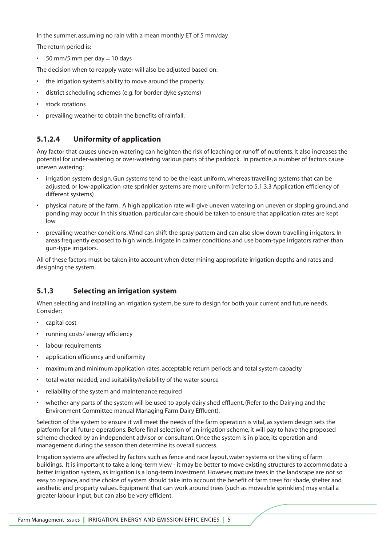In the summer, assuming no rain with a mean monthly ET of 5 mm/day

The return period is:

50 mm/5 mm per day  $= 10$  days

The decision when to reapply water will also be adjusted based on:

- the irrigation system's ability to move around the property
- district scheduling schemes (e.g. for border dyke systems)
- stock rotations
- prevailing weather to obtain the benefits of rainfall.

#### **5.1.2.4 Uniformity of application**

Any factor that causes uneven watering can heighten the risk of leaching or runoff of nutrients. It also increases the potential for under-watering or over-watering various parts of the paddock. In practice, a number of factors cause uneven watering:

- irrigation system design. Gun systems tend to be the least uniform, whereas travelling systems that can be adjusted, or low-application rate sprinkler systems are more uniform (refer to 5.1.3.3 Application efficiency of different systems)
- physical nature of the farm. A high application rate will give uneven watering on uneven or sloping ground, and ponding may occur. In this situation, particular care should be taken to ensure that application rates are kept low
- prevailing weather conditions. Wind can shift the spray pattern and can also slow down travelling irrigators. In areas frequently exposed to high winds, irrigate in calmer conditions and use boom-type irrigators rather than gun-type irrigators.

All of these factors must be taken into account when determining appropriate irrigation depths and rates and designing the system.

#### **5.1.3 Selecting an irrigation system**

When selecting and installing an irrigation system, be sure to design for both your current and future needs. Consider:

- capital cost
- running costs/ energy efficiency
- labour requirements
- application efficiency and uniformity
- maximum and minimum application rates, acceptable return periods and total system capacity
- total water needed, and suitability/reliability of the water source
- reliability of the system and maintenance required
- whether any parts of the system will be used to apply dairy shed effluent. (Refer to the Dairying and the Environment Committee manual Managing Farm Dairy Effluent).

Selection of the system to ensure it will meet the needs of the farm operation is vital, as system design sets the platform for all future operations. Before final selection of an irrigation scheme, it will pay to have the proposed scheme checked by an independent advisor or consultant. Once the system is in place, its operation and management during the season then determine its overall success.

Irrigation systems are affected by factors such as fence and race layout, water systems or the siting of farm buildings. It is important to take a long-term view - it may be better to move existing structures to accommodate a better irrigation system, as irrigation is a long-term investment. However, mature trees in the landscape are not so easy to replace, and the choice of system should take into account the benefit of farm trees for shade, shelter and aesthetic and property values. Equipment that can work around trees (such as moveable sprinklers) may entail a greater labour input, but can also be very efficient.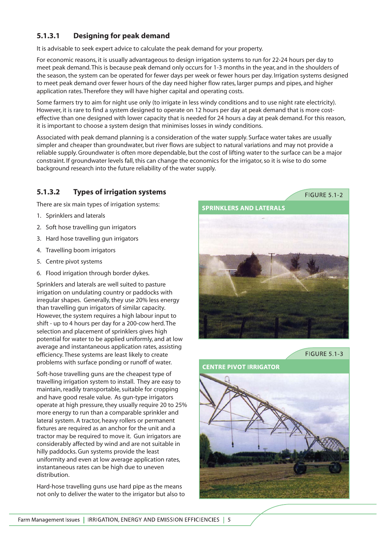## **5.1.3.1 Designing for peak demand**

It is advisable to seek expert advice to calculate the peak demand for your property.

For economic reasons, it is usually advantageous to design irrigation systems to run for 22-24 hours per day to meet peak demand. This is because peak demand only occurs for 1-3 months in the year, and in the shoulders of the season, the system can be operated for fewer days per week or fewer hours per day. Irrigation systems designed to meet peak demand over fewer hours of the day need higher flow rates, larger pumps and pipes, and higher application rates. Therefore they will have higher capital and operating costs.

Some farmers try to aim for night use only (to irrigate in less windy conditions and to use night rate electricity). However, it is rare to find a system designed to operate on 12 hours per day at peak demand that is more costeffective than one designed with lower capacity that is needed for 24 hours a day at peak demand. For this reason, it is important to choose a system design that minimises losses in windy conditions.

Associated with peak demand planning is a consideration of the water supply. Surface water takes are usually simpler and cheaper than groundwater, but river flows are subject to natural variations and may not provide a reliable supply. Groundwater is often more dependable, but the cost of lifting water to the surface can be a major constraint. If groundwater levels fall, this can change the economics for the irrigator, so it is wise to do some background research into the future reliability of the water supply.

## **5.1.3.2 Types of irrigation systems**

There are six main types of irrigation systems:

- 1. Sprinklers and laterals
- 2. Soft hose travelling gun irrigators
- 3. Hard hose travelling gun irrigators
- 4. Travelling boom irrigators
- 5. Centre pivot systems
- 6. Flood irrigation through border dykes.

Sprinklers and laterals are well suited to pasture irrigation on undulating country or paddocks with irregular shapes. Generally, they use 20% less energy than travelling gun irrigators of similar capacity. However, the system requires a high labour input to shift - up to 4 hours per day for a 200-cow herd. The selection and placement of sprinklers gives high potential for water to be applied uniformly, and at low average and instantaneous application rates, assisting efficiency. These systems are least likely to create problems with surface ponding or runoff of water.

Soft-hose travelling guns are the cheapest type of travelling irrigation system to install. They are easy to maintain, readily transportable, suitable for cropping and have good resale value. As gun-type irrigators operate at high pressure, they usually require 20 to 25% more energy to run than a comparable sprinkler and lateral system. A tractor, heavy rollers or permanent fixtures are required as an anchor for the unit and a tractor may be required to move it. Gun irrigators are considerably affected by wind and are not suitable in hilly paddocks. Gun systems provide the least uniformity and even at low average application rates, instantaneous rates can be high due to uneven distribution.

Hard-hose travelling guns use hard pipe as the means not only to deliver the water to the irrigator but also to **FIGURE 5.1-2** 



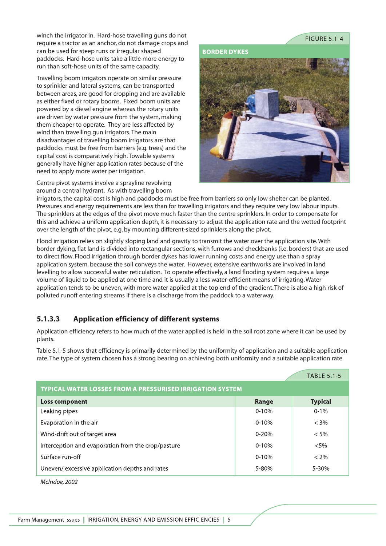winch the irrigator in. Hard-hose travelling guns do not require a tractor as an anchor, do not damage crops and can be used for steep runs or irregular shaped paddocks. Hard-hose units take a little more energy to run than soft-hose units of the same capacity.

Travelling boom irrigators operate on similar pressure to sprinkler and lateral systems, can be transported between areas, are good for cropping and are available as either fixed or rotary booms. Fixed boom units are powered by a diesel engine whereas the rotary units are driven by water pressure from the system, making them cheaper to operate. They are less affected by wind than travelling gun irrigators. The main disadvantages of travelling boom irrigators are that paddocks must be free from barriers (e.g. trees) and the capital cost is comparatively high. Towable systems generally have higher application rates because of the need to apply more water per irrigation.

Centre pivot systems involve a sprayline revolving around a central hydrant. As with travelling boom **FIGURE 5.1-4** 

**BORDER DYKES** 



irrigators, the capital cost is high and paddocks must be free from barriers so only low shelter can be planted. Pressures and energy requirements are less than for travelling irrigators and they require very low labour inputs. The sprinklers at the edges of the pivot move much faster than the centre sprinklers. In order to compensate for this and achieve a uniform application depth, it is necessary to adjust the application rate and the wetted footprint over the length of the pivot, e.g. by mounting different-sized sprinklers along the pivot.

Flood irrigation relies on slightly sloping land and gravity to transmit the water over the application site. With border dyking, flat land is divided into rectangular sections, with furrows and checkbanks (i.e. borders) that are used to direct flow. Flood irrigation through border dykes has lower running costs and energy use than a spray application system, because the soil conveys the water. However, extensive earthworks are involved in land levelling to allow successful water reticulation. To operate effectively, a land flooding system requires a large volume of liquid to be applied at one time and it is usually a less water-efficient means of irrigating. Water application tends to be uneven, with more water applied at the top end of the gradient. There is also a high risk of polluted runoff entering streams if there is a discharge from the paddock to a waterway.

## **5.1.3.3 Application efficiency of different systems**

Application efficiency refers to how much of the water applied is held in the soil root zone where it can be used by plants.

Table 5.1-5 shows that efficiency is primarily determined by the uniformity of application and a suitable application rate. The type of system chosen has a strong bearing on achieving both uniformity and a suitable application rate.

|                                                                  |           | <b>TABLE 5.1-5</b> |
|------------------------------------------------------------------|-----------|--------------------|
| <b>TYPICAL WATER LOSSES FROM A PRESSURISED IRRIGATION SYSTEM</b> |           |                    |
| <b>Loss component</b>                                            | Range     | <b>Typical</b>     |
| Leaking pipes                                                    | $0 - 10%$ | $0 - 1\%$          |
| Evaporation in the air                                           | $0 - 10%$ | $< 3\%$            |
| Wind-drift out of target area                                    | $0 - 20%$ | $< 5\%$            |
| Interception and evaporation from the crop/pasture               | $0 - 10%$ | $< 5\%$            |
| Surface run-off                                                  | $0 - 10%$ | $< 2\%$            |
| Uneven/excessive application depths and rates                    | 5-80%     | $5 - 30%$          |

McIndoe, 2002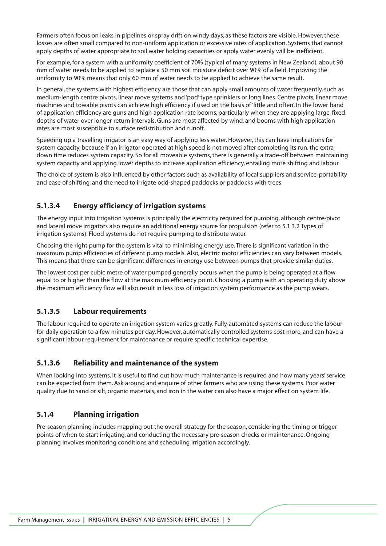Farmers often focus on leaks in pipelines or spray drift on windy days, as these factors are visible. However, these losses are often small compared to non-uniform application or excessive rates of application. Systems that cannot apply depths of water appropriate to soil water holding capacities or apply water evenly will be inefficient.

For example, for a system with a uniformity coefficient of 70% (typical of many systems in New Zealand), about 90 mm of water needs to be applied to replace a 50 mm soil moisture deficit over 90% of a field. Improving the uniformity to 90% means that only 60 mm of water needs to be applied to achieve the same result.

In general, the systems with highest efficiency are those that can apply small amounts of water frequently, such as medium-length centre pivots, linear move systems and 'pod' type sprinklers or long lines. Centre pivots, linear move machines and towable pivots can achieve high efficiency if used on the basis of 'little and often'. In the lower band of application efficiency are guns and high application rate booms, particularly when they are applying large, fixed depths of water over longer return intervals. Guns are most affected by wind, and booms with high application rates are most susceptible to surface redistribution and runoff.

Speeding up a travelling irrigator is an easy way of applying less water. However, this can have implications for system capacity, because if an irrigator operated at high speed is not moved after completing its run, the extra down time reduces system capacity. So for all moveable systems, there is generally a trade-off between maintaining system capacity and applying lower depths to increase application efficiency, entailing more shifting and labour.

The choice of system is also influenced by other factors such as availability of local suppliers and service, portability and ease of shifting, and the need to irrigate odd-shaped paddocks or paddocks with trees.

## **5.1.3.4 Energy efficiency of irrigation systems**

The energy input into irrigation systems is principally the electricity required for pumping, although centre-pivot and lateral move irrigators also require an additional energy source for propulsion (refer to 5.1.3.2 Types of irrigation systems). Flood systems do not require pumping to distribute water.

Choosing the right pump for the system is vital to minimising energy use. There is significant variation in the maximum pump efficiencies of different pump models. Also, electric motor efficiencies can vary between models. This means that there can be significant differences in energy use between pumps that provide similar duties.

The lowest cost per cubic metre of water pumped generally occurs when the pump is being operated at a flow equal to or higher than the flow at the maximum efficiency point. Choosing a pump with an operating duty above the maximum efficiency flow will also result in less loss of irrigation system performance as the pump wears.

#### **5.1.3.5 Labour requirements**

The labour required to operate an irrigation system varies greatly. Fully automated systems can reduce the labour for daily operation to a few minutes per day. However, automatically controlled systems cost more, and can have a significant labour requirement for maintenance or require specific technical expertise.

#### **5.1.3.6 Reliability and maintenance of the system**

When looking into systems, it is useful to find out how much maintenance is required and how many years' service can be expected from them. Ask around and enquire of other farmers who are using these systems. Poor water quality due to sand or silt, organic materials, and iron in the water can also have a major effect on system life.

#### **5.1.4 Planning irrigation**

Pre-season planning includes mapping out the overall strategy for the season, considering the timing or trigger points of when to start irrigating, and conducting the necessary pre-season checks or maintenance. Ongoing planning involves monitoring conditions and scheduling irrigation accordingly.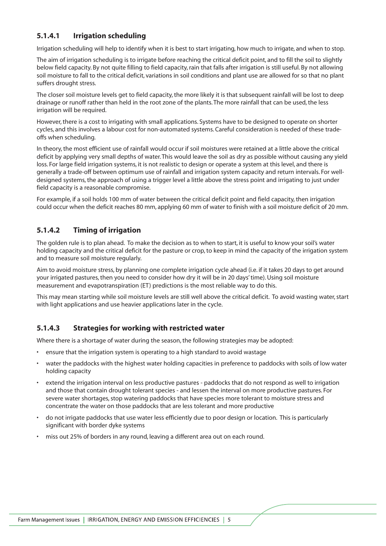#### **5.1.4.1 Irrigation scheduling**

Irrigation scheduling will help to identify when it is best to start irrigating, how much to irrigate, and when to stop.

The aim of irrigation scheduling is to irrigate before reaching the critical deficit point, and to fill the soil to slightly below field capacity. By not quite filling to field capacity, rain that falls after irrigation is still useful. By not allowing soil moisture to fall to the critical deficit, variations in soil conditions and plant use are allowed for so that no plant suffers drought stress.

The closer soil moisture levels get to field capacity, the more likely it is that subsequent rainfall will be lost to deep drainage or runoff rather than held in the root zone of the plants. The more rainfall that can be used, the less irrigation will be required.

However, there is a cost to irrigating with small applications. Systems have to be designed to operate on shorter cycles, and this involves a labour cost for non-automated systems. Careful consideration is needed of these tradeoffs when scheduling.

In theory, the most efficient use of rainfall would occur if soil moistures were retained at a little above the critical deficit by applying very small depths of water. This would leave the soil as dry as possible without causing any yield loss. For large field irrigation systems, it is not realistic to design or operate a system at this level, and there is generally a trade-off between optimum use of rainfall and irrigation system capacity and return intervals. For welldesigned systems, the approach of using a trigger level a little above the stress point and irrigating to just under field capacity is a reasonable compromise.

For example, if a soil holds 100 mm of water between the critical deficit point and field capacity, then irrigation could occur when the deficit reaches 80 mm, applying 60 mm of water to finish with a soil moisture deficit of 20 mm.

## **5.1.4.2 Timing of irrigation**

The golden rule is to plan ahead. To make the decision as to when to start, it is useful to know your soil's water holding capacity and the critical deficit for the pasture or crop, to keep in mind the capacity of the irrigation system and to measure soil moisture regularly.

Aim to avoid moisture stress, by planning one complete irrigation cycle ahead (i.e. if it takes 20 days to get around your irrigated pastures, then you need to consider how dry it will be in 20 days' time). Using soil moisture measurement and evapotranspiration (ET) predictions is the most reliable way to do this.

This may mean starting while soil moisture levels are still well above the critical deficit. To avoid wasting water, start with light applications and use heavier applications later in the cycle.

#### **5.1.4.3 Strategies for working with restricted water**

Where there is a shortage of water during the season, the following strategies may be adopted:

- ensure that the irrigation system is operating to a high standard to avoid wastage
- water the paddocks with the highest water holding capacities in preference to paddocks with soils of low water holding capacity
- extend the irrigation interval on less productive pastures paddocks that do not respond as well to irrigation and those that contain drought tolerant species - and lessen the interval on more productive pastures. For severe water shortages, stop watering paddocks that have species more tolerant to moisture stress and concentrate the water on those paddocks that are less tolerant and more productive
- do not irrigate paddocks that use water less efficiently due to poor design or location. This is particularly significant with border dyke systems
- miss out 25% of borders in any round, leaving a different area out on each round.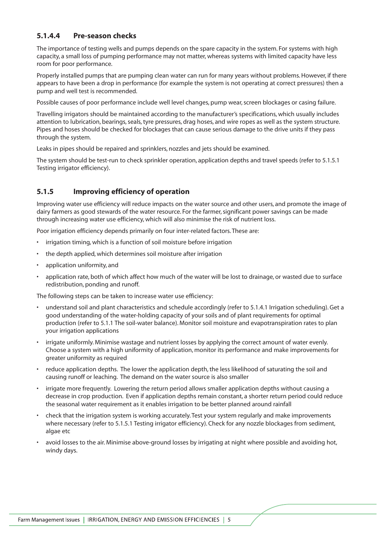#### **5.1.4.4 Pre-season checks**

The importance of testing wells and pumps depends on the spare capacity in the system. For systems with high capacity, a small loss of pumping performance may not matter, whereas systems with limited capacity have less room for poor performance.

Properly installed pumps that are pumping clean water can run for many years without problems. However, if there appears to have been a drop in performance (for example the system is not operating at correct pressures) then a pump and well test is recommended.

Possible causes of poor performance include well level changes, pump wear, screen blockages or casing failure.

Travelling irrigators should be maintained according to the manufacturer's specifications, which usually includes attention to lubrication, bearings, seals, tyre pressures, drag hoses, and wire ropes as well as the system structure. Pipes and hoses should be checked for blockages that can cause serious damage to the drive units if they pass through the system.

Leaks in pipes should be repaired and sprinklers, nozzles and jets should be examined.

The system should be test-run to check sprinkler operation, application depths and travel speeds (refer to 5.1.5.1 Testing irrigator efficiency).

#### **5.1.5 Improving efficiency of operation**

Improving water use efficiency will reduce impacts on the water source and other users, and promote the image of dairy farmers as good stewards of the water resource. For the farmer, significant power savings can be made through increasing water use efficiency, which will also minimise the risk of nutrient loss.

Poor irrigation efficiency depends primarily on four inter-related factors. These are:

- irrigation timing, which is a function of soil moisture before irrigation
- the depth applied, which determines soil moisture after irrigation
- application uniformity, and
- application rate, both of which affect how much of the water will be lost to drainage, or wasted due to surface redistribution, ponding and runoff.

The following steps can be taken to increase water use efficiency:

- understand soil and plant characteristics and schedule accordingly (refer to 5.1.4.1 Irrigation scheduling). Get a good understanding of the water-holding capacity of your soils and of plant requirements for optimal production (refer to 5.1.1 The soil-water balance). Monitor soil moisture and evapotranspiration rates to plan your irrigation applications
- irrigate uniformly. Minimise wastage and nutrient losses by applying the correct amount of water evenly. Choose a system with a high uniformity of application, monitor its performance and make improvements for greater uniformity as required
- reduce application depths. The lower the application depth, the less likelihood of saturating the soil and causing runoff or leaching. The demand on the water source is also smaller
- irrigate more frequently. Lowering the return period allows smaller application depths without causing a decrease in crop production. Even if application depths remain constant, a shorter return period could reduce the seasonal water requirement as it enables irrigation to be better planned around rainfall
- check that the irrigation system is working accurately. Test your system regularly and make improvements where necessary (refer to 5.1.5.1 Testing irrigator efficiency). Check for any nozzle blockages from sediment, algae etc
- avoid losses to the air. Minimise above-ground losses by irrigating at night where possible and avoiding hot, windy days.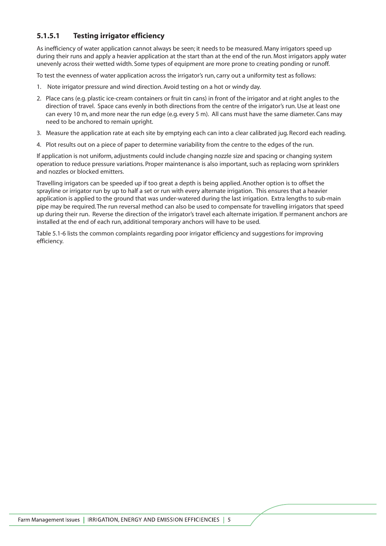## **5.1.5.1 Testing irrigator efficiency**

As inefficiency of water application cannot always be seen; it needs to be measured. Many irrigators speed up during their runs and apply a heavier application at the start than at the end of the run. Most irrigators apply water unevenly across their wetted width. Some types of equipment are more prone to creating ponding or runoff.

To test the evenness of water application across the irrigator's run, carry out a uniformity test as follows:

- 1. Note irrigator pressure and wind direction. Avoid testing on a hot or windy day.
- 2. Place cans (e.g. plastic ice-cream containers or fruit tin cans) in front of the irrigator and at right angles to the direction of travel. Space cans evenly in both directions from the centre of the irrigator's run. Use at least one can every 10 m, and more near the run edge (e.g. every 5 m). All cans must have the same diameter. Cans may need to be anchored to remain upright.
- 3. Measure the application rate at each site by emptying each can into a clear calibrated jug. Record each reading.
- 4. Plot results out on a piece of paper to determine variability from the centre to the edges of the run.

If application is not uniform, adjustments could include changing nozzle size and spacing or changing system operation to reduce pressure variations. Proper maintenance is also important, such as replacing worn sprinklers and nozzles or blocked emitters.

Travelling irrigators can be speeded up if too great a depth is being applied. Another option is to offset the sprayline or irrigator run by up to half a set or run with every alternate irrigation. This ensures that a heavier application is applied to the ground that was under-watered during the last irrigation. Extra lengths to sub-main pipe may be required. The run reversal method can also be used to compensate for travelling irrigators that speed up during their run. Reverse the direction of the irrigator's travel each alternate irrigation. If permanent anchors are installed at the end of each run, additional temporary anchors will have to be used.

Table 5.1-6 lists the common complaints regarding poor irrigator efficiency and suggestions for improving efficiency.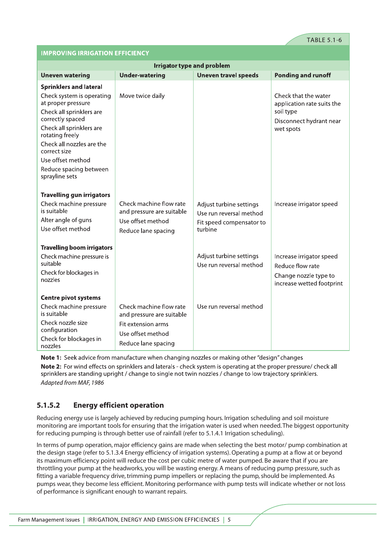#### **IMPROVING IRRIGATION EFFICIENCY**

| <b>Irrigator type and problem</b>               |                                                      |                                                    |                                                    |  |
|-------------------------------------------------|------------------------------------------------------|----------------------------------------------------|----------------------------------------------------|--|
| <b>Uneven watering</b>                          | <b>Under-watering</b>                                | <b>Uneven travel speeds</b>                        | <b>Ponding and runoff</b>                          |  |
| <b>Sprinklers and lateral</b>                   |                                                      |                                                    |                                                    |  |
| Check system is operating<br>at proper pressure | Move twice daily                                     |                                                    | Check that the water<br>application rate suits the |  |
| Check all sprinklers are<br>correctly spaced    |                                                      |                                                    | soil type<br>Disconnect hydrant near               |  |
| Check all sprinklers are<br>rotating freely     |                                                      |                                                    | wet spots                                          |  |
| Check all nozzles are the<br>correct size       |                                                      |                                                    |                                                    |  |
| Use offset method                               |                                                      |                                                    |                                                    |  |
| Reduce spacing between<br>sprayline sets        |                                                      |                                                    |                                                    |  |
| <b>Travelling gun irrigators</b>                |                                                      |                                                    |                                                    |  |
| Check machine pressure<br>is suitable           | Check machine flow rate<br>and pressure are suitable | Adjust turbine settings<br>Use run reversal method | Increase irrigator speed                           |  |
| Alter angle of guns                             | Use offset method                                    | Fit speed compensator to                           |                                                    |  |
| Use offset method                               | Reduce lane spacing                                  | turbine                                            |                                                    |  |
| <b>Travelling boom irrigators</b>               |                                                      |                                                    |                                                    |  |
| Check machine pressure is<br>suitable           |                                                      | Adjust turbine settings<br>Use run reversal method | Increase irrigator speed<br>Reduce flow rate       |  |
| Check for blockages in<br>nozzles               |                                                      |                                                    | Change nozzle type to<br>increase wetted footprint |  |
| <b>Centre pivot systems</b>                     |                                                      |                                                    |                                                    |  |
| Check machine pressure<br>is suitable           | Check machine flow rate<br>and pressure are suitable | Use run reversal method                            |                                                    |  |
| Check nozzle size                               | Fit extension arms                                   |                                                    |                                                    |  |
| configuration<br>Check for blockages in         | Use offset method                                    |                                                    |                                                    |  |
| nozzles                                         | Reduce lane spacing                                  |                                                    |                                                    |  |

Note 1: Seek advice from manufacture when changing nozzles or making other "design" changes Note 2: For wind effects on sprinklers and laterals - check system is operating at the proper pressure/ check all sprinklers are standing upright / change to single not twin nozzles / change to low trajectory sprinklers. Adapted from MAF, 1986

#### **5.1.5.2 Energy efficient operation**

Reducing energy use is largely achieved by reducing pumping hours. Irrigation scheduling and soil moisture monitoring are important tools for ensuring that the irrigation water is used when needed. The biggest opportunity for reducing pumping is through better use of rainfall (refer to 5.1.4.1 Irrigation scheduling).

In terms of pump operation, major efficiency gains are made when selecting the best motor/ pump combination at the design stage (refer to 5.1.3.4 Energy efficiency of irrigation systems). Operating a pump at a flow at or beyond its maximum efficiency point will reduce the cost per cubic metre of water pumped. Be aware that if you are throttling your pump at the headworks, you will be wasting energy. A means of reducing pump pressure, such as fitting a variable frequency drive, trimming pump impellers or replacing the pump, should be implemented. As pumps wear, they become less efficient. Monitoring performance with pump tests will indicate whether or not loss of performance is significant enough to warrant repairs.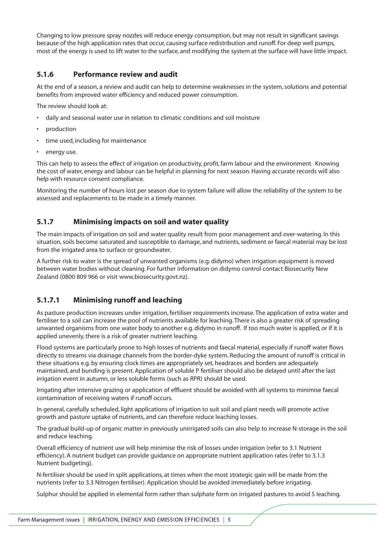Changing to low pressure spray nozzles will reduce energy consumption, but may not result in significant savings because of the high application rates that occur, causing surface redistribution and runoff. For deep well pumps, most of the energy is used to lift water to the surface, and modifying the system at the surface will have little impact.

#### **5.1.6 Performance review and audit**

At the end of a season, a review and audit can help to determine weaknesses in the system, solutions and potential benefits from improved water efficiency and reduced power consumption.

The review should look at:

- daily and seasonal water use in relation to climatic conditions and soil moisture
- production
- time used, including for maintenance
- energy use.

This can help to assess the effect of irrigation on productivity, profit, farm labour and the environment. Knowing the cost of water, energy and labour can be helpful in planning for next season. Having accurate records will also help with resource consent compliance.

Monitoring the number of hours lost per season due to system failure will allow the reliability of the system to be assessed and replacements to be made in a timely manner.

#### **5.1.7 Minimising impacts on soil and water quality**

The main impacts of irrigation on soil and water quality result from poor management and over-watering. In this situation, soils become saturated and susceptible to damage, and nutrients, sediment or faecal material may be lost from the irrigated area to surface or groundwater.

A further risk to water is the spread of unwanted organisms (e.g. didymo) when irrigation equipment is moved between water bodies without cleaning. For further information on didymo control contact Biosecurity New Zealand (0800 809 966 or visit www.biosecurity.govt.nz).

#### **5.1.7.1 Minimising runoff and leaching**

As pasture production increases under irrigation, fertiliser requirements increase. The application of extra water and fertiliser to a soil can increase the pool of nutrients available for leaching. There is also a greater risk of spreading unwanted organisms from one water body to another e.g. didymo in runoff. If too much water is applied, or if it is applied unevenly, there is a risk of greater nutrient leaching.

Flood systems are particularly prone to high losses of nutrients and faecal material, especially if runoff water flows directly to streams via drainage channels from the border-dyke system. Reducing the amount of runoff is critical in these situations e.g. by ensuring clock times are appropriately set, headraces and borders are adequately maintained, and bunding is present. Application of soluble P fertiliser should also be delayed until after the last irrigation event in autumn, or less soluble forms (such as RPR) should be used.

Irrigating after intensive grazing or application of effluent should be avoided with all systems to minimise faecal contamination of receiving waters if runoff occurs.

In general, carefully scheduled, light applications of irrigation to suit soil and plant needs will promote active growth and pasture uptake of nutrients, and can therefore reduce leaching losses.

The gradual build-up of organic matter in previously unirrigated soils can also help to increase N-storage in the soil and reduce leaching.

Overall efficiency of nutrient use will help minimise the risk of losses under irrigation (refer to 3.1 Nutrient efficiency). A nutrient budget can provide guidance on appropriate nutrient application rates (refer to 3.1.3 Nutrient budgeting).

N-fertiliser should be used in split applications, at times when the most strategic gain will be made from the nutrients (refer to 3.3 Nitrogen fertiliser). Application should be avoided immediately before irrigating.

Sulphur should be applied in elemental form rather than sulphate form on irrigated pastures to avoid S leaching.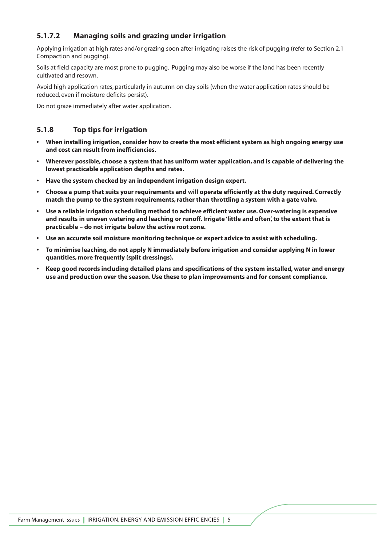## **5.1.7.2 Managing soils and grazing under irrigation**

Applying irrigation at high rates and/or grazing soon after irrigating raises the risk of pugging (refer to Section 2.1 Compaction and pugging).

Soils at field capacity are most prone to pugging. Pugging may also be worse if the land has been recently cultivated and resown.

Avoid high application rates, particularly in autumn on clay soils (when the water application rates should be reduced, even if moisture deficits persist).

Do not graze immediately after water application.

#### **5.1.8 Top tips for irrigation**

- **When installing irrigation, consider how to create the most efficient system as high ongoing energy use and cost can result from inefficiencies.**
- **Wherever possible, choose a system that has uniform water application, and is capable of delivering the lowest practicable application depths and rates.**
- **Have the system checked by an independent irrigation design expert.**
- **Choose a pump that suits your requirements and will operate efficiently at the duty required. Correctly match the pump to the system requirements, rather than throttling a system with a gate valve.**
- **Use a reliable irrigation scheduling method to achieve efficient water use. Over-watering is expensive and results in uneven watering and leaching or runoff. Irrigate 'little and often', to the extent that is practicable – do not irrigate below the active root zone.**
- **Use an accurate soil moisture monitoring technique or expert advice to assist with scheduling.**
- **To minimise leaching, do not apply N immediately before irrigation and consider applying N in lower quantities, more frequently (split dressings).**
- **Keep good records including detailed plans and specifications of the system installed, water and energy use and production over the season. Use these to plan improvements and for consent compliance.**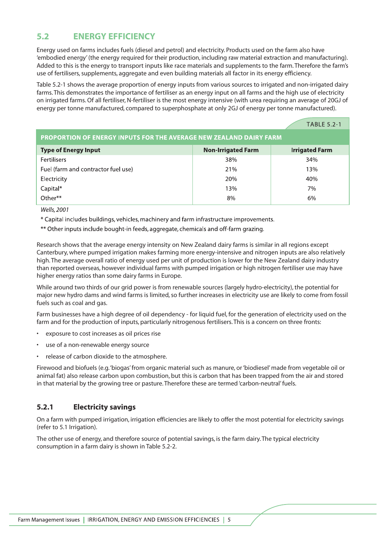## **5.2 ENERGY EFFICIENCY**

Energy used on farms includes fuels (diesel and petrol) and electricity. Products used on the farm also have 'embodied energy' (the energy required for their production, including raw material extraction and manufacturing). Added to this is the energy to transport inputs like race materials and supplements to the farm. Therefore the farm's use of fertilisers, supplements, aggregate and even building materials all factor in its energy efficiency.

Table 5.2-1 shows the average proportion of energy inputs from various sources to irrigated and non-irrigated dairy farms. This demonstrates the importance of fertiliser as an energy input on all farms and the high use of electricity on irrigated farms. Of all fertiliser, N-fertiliser is the most energy intensive (with urea requiring an average of 20GJ of energy per tonne manufactured, compared to superphosphate at only 2GJ of energy per tonne manufactured).

|                                                                           |                           | <b>TABLE 5.2-1</b>    |  |
|---------------------------------------------------------------------------|---------------------------|-----------------------|--|
| <b>PROPORTION OF ENERGY INPUTS FOR THE AVERAGE NEW ZEALAND DAIRY FARM</b> |                           |                       |  |
| <b>Type of Energy Input</b>                                               | <b>Non-Irrigated Farm</b> | <b>Irrigated Farm</b> |  |
| <b>Fertilisers</b>                                                        | 38%                       | 34%                   |  |
| Fuel (farm and contractor fuel use)                                       | 21%                       | 13%                   |  |
| Electricity                                                               | 20%                       | 40%                   |  |
| Capital*                                                                  | 13%                       | 7%                    |  |
| $Other**$                                                                 | 8%                        | 6%                    |  |

Wells, 2001

\* Capital includes buildings, vehicles, machinery and farm infrastructure improvements.

\*\* Other inputs include bought-in feeds, aggregate, chemicals and off-farm grazing.

Research shows that the average energy intensity on New Zealand dairy farms is similar in all regions except Canterbury, where pumped irrigation makes farming more energy-intensive and nitrogen inputs are also relatively high. The average overall ratio of energy used per unit of production is lower for the New Zealand dairy industry than reported overseas, however individual farms with pumped irrigation or high nitrogen fertiliser use may have higher energy ratios than some dairy farms in Europe.

While around two thirds of our grid power is from renewable sources (largely hydro-electricity), the potential for major new hydro dams and wind farms is limited, so further increases in electricity use are likely to come from fossil fuels such as coal and gas.

Farm businesses have a high degree of oil dependency - for liquid fuel, for the generation of electricity used on the farm and for the production of inputs, particularly nitrogenous fertilisers. This is a concern on three fronts:

- exposure to cost increases as oil prices rise
- use of a non-renewable energy source
- release of carbon dioxide to the atmosphere.

Firewood and biofuels (e.g.'biogas' from organic material such as manure, or 'biodiesel' made from vegetable oil or animal fat) also release carbon upon combustion, but this is carbon that has been trapped from the air and stored in that material by the growing tree or pasture. Therefore these are termed 'carbon-neutral' fuels.

#### **5.2.1 Electricity savings**

On a farm with pumped irrigation, irrigation efficiencies are likely to offer the most potential for electricity savings (refer to 5.1 Irrigation).

The other use of energy, and therefore source of potential savings, is the farm dairy. The typical electricity consumption in a farm dairy is shown in Table 5.2-2.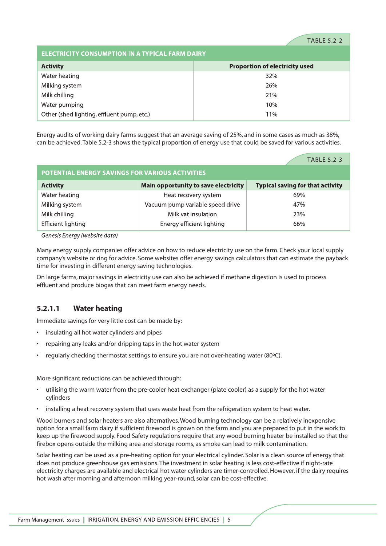#### **TABLE 5.2-2**

| <b>ELECTRICITY CONSUMPTION IN A TYPICAL FARM DAIRY</b> |                                       |  |  |
|--------------------------------------------------------|---------------------------------------|--|--|
| <b>Activity</b>                                        | <b>Proportion of electricity used</b> |  |  |
| Water heating                                          | 32%                                   |  |  |
| Milking system                                         | 26%                                   |  |  |
| Milk chilling                                          | 21%                                   |  |  |
| Water pumping<br>10%                                   |                                       |  |  |
| Other (shed lighting, effluent pump, etc.)<br>11%      |                                       |  |  |

Energy audits of working dairy farms suggest that an average saving of 25%, and in some cases as much as 38%, can be achieved. Table 5.2-3 shows the typical proportion of energy use that could be saved for various activities.

|                                                        |                                      | <b>TABLE 5.2-3</b>                      |  |
|--------------------------------------------------------|--------------------------------------|-----------------------------------------|--|
| <b>POTENTIAL ENERGY SAVINGS FOR VARIOUS ACTIVITIES</b> |                                      |                                         |  |
| <b>Activity</b>                                        | Main opportunity to save electricity | <b>Typical saving for that activity</b> |  |
| Water heating                                          | Heat recovery system                 | 69%                                     |  |
| Milking system                                         | Vacuum pump variable speed drive     | 47%                                     |  |
| Milk chilling                                          | Milk vat insulation                  | 23%                                     |  |
| <b>Efficient lighting</b>                              | Energy efficient lighting            | 66%                                     |  |

Genesis Energy (website data)

Many energy supply companies offer advice on how to reduce electricity use on the farm. Check your local supply company's website or ring for advice. Some websites offer energy savings calculators that can estimate the payback time for investing in different energy saving technologies.

On large farms, major savings in electricity use can also be achieved if methane digestion is used to process effluent and produce biogas that can meet farm energy needs.

#### **5.2.1.1 Water heating**

Immediate savings for very little cost can be made by:

- insulating all hot water cylinders and pipes
- repairing any leaks and/or dripping taps in the hot water system
- regularly checking thermostat settings to ensure you are not over-heating water (80ºC).

More significant reductions can be achieved through:

- utilising the warm water from the pre-cooler heat exchanger (plate cooler) as a supply for the hot water cylinders
- installing a heat recovery system that uses waste heat from the refrigeration system to heat water.

Wood burners and solar heaters are also alternatives. Wood burning technology can be a relatively inexpensive option for a small farm dairy if sufficient firewood is grown on the farm and you are prepared to put in the work to keep up the firewood supply. Food Safety regulations require that any wood burning heater be installed so that the firebox opens outside the milking area and storage rooms, as smoke can lead to milk contamination.

Solar heating can be used as a pre-heating option for your electrical cylinder. Solar is a clean source of energy that does not produce greenhouse gas emissions. The investment in solar heating is less cost-effective if night-rate electricity charges are available and electrical hot water cylinders are timer-controlled. However, if the dairy requires hot wash after morning and afternoon milking year-round, solar can be cost-effective.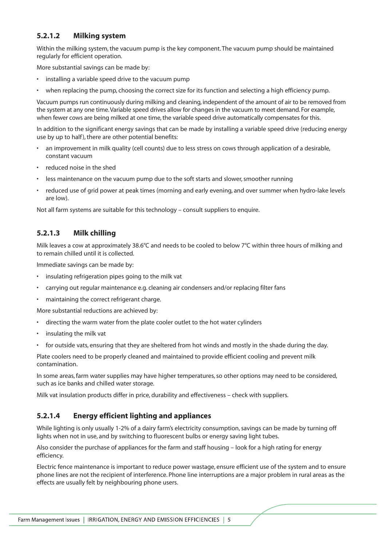#### **5.2.1.2 Milking system**

Within the milking system, the vacuum pump is the key component. The vacuum pump should be maintained regularly for efficient operation.

More substantial savings can be made by:

- installing a variable speed drive to the vacuum pump
- when replacing the pump, choosing the correct size for its function and selecting a high efficiency pump.

Vacuum pumps run continuously during milking and cleaning, independent of the amount of air to be removed from the system at any one time.Variable speed drives allow for changes in the vacuum to meet demand. For example, when fewer cows are being milked at one time, the variable speed drive automatically compensates for this.

In addition to the significant energy savings that can be made by installing a variable speed drive (reducing energy use by up to half), there are other potential benefits:

- an improvement in milk quality (cell counts) due to less stress on cows through application of a desirable, constant vacuum
- reduced noise in the shed
- less maintenance on the vacuum pump due to the soft starts and slower, smoother running
- reduced use of grid power at peak times (morning and early evening, and over summer when hydro-lake levels are low).

Not all farm systems are suitable for this technology – consult suppliers to enquire.

#### **5.2.1.3 Milk chilling**

Milk leaves a cow at approximately 38.6°C and needs to be cooled to below 7°C within three hours of milking and to remain chilled until it is collected.

Immediate savings can be made by:

- insulating refrigeration pipes going to the milk vat
- carrying out regular maintenance e.g. cleaning air condensers and/or replacing filter fans
- maintaining the correct refrigerant charge.

More substantial reductions are achieved by:

- directing the warm water from the plate cooler outlet to the hot water cylinders
- insulating the milk vat
- for outside vats, ensuring that they are sheltered from hot winds and mostly in the shade during the day.

Plate coolers need to be properly cleaned and maintained to provide efficient cooling and prevent milk contamination.

In some areas, farm water supplies may have higher temperatures, so other options may need to be considered, such as ice banks and chilled water storage.

Milk vat insulation products differ in price, durability and effectiveness – check with suppliers.

#### **5.2.1.4 Energy efficient lighting and appliances**

While lighting is only usually 1-2% of a dairy farm's electricity consumption, savings can be made by turning off lights when not in use, and by switching to fluorescent bulbs or energy saving light tubes.

Also consider the purchase of appliances for the farm and staff housing – look for a high rating for energy efficiency.

Electric fence maintenance is important to reduce power wastage, ensure efficient use of the system and to ensure phone lines are not the recipient of interference. Phone line interruptions are a major problem in rural areas as the effects are usually felt by neighbouring phone users.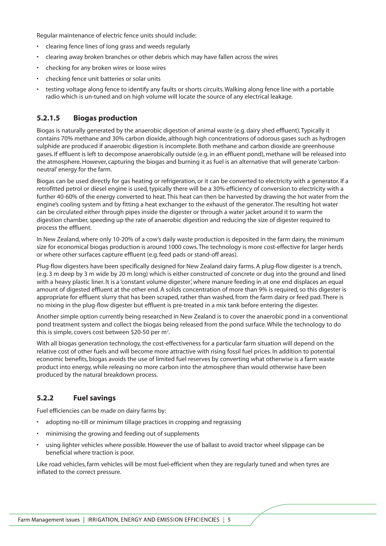Regular maintenance of electric fence units should include:

- clearing fence lines of long grass and weeds regularly
- clearing away broken branches or other debris which may have fallen across the wires
- checking for any broken wires or loose wires
- checking fence unit batteries or solar units
- testing voltage along fence to identify any faults or shorts circuits. Walking along fence line with a portable radio which is un-tuned and on high volume will locate the source of any electrical leakage.

#### **5.2.1.5 Biogas production**

Biogas is naturally generated by the anaerobic digestion of animal waste (e.g. dairy shed effluent). Typically it contains 70% methane and 30% carbon dioxide, although high concentrations of odorous gases such as hydrogen sulphide are produced if anaerobic digestion is incomplete. Both methane and carbon dioxide are greenhouse gases. If effluent is left to decompose anaerobically outside (e.g. in an effluent pond), methane will be released into the atmosphere. However, capturing the biogas and burning it as fuel is an alternative that will generate 'carbonneutral' energy for the farm.

Biogas can be used directly for gas heating or refrigeration, or it can be converted to electricity with a generator. If a retrofitted petrol or diesel engine is used, typically there will be a 30% efficiency of conversion to electricity with a further 40-60% of the energy converted to heat. This heat can then be harvested by drawing the hot water from the engine's cooling system and by fitting a heat exchanger to the exhaust of the generator. The resulting hot water can be circulated either through pipes inside the digester or through a water jacket around it to warm the digestion chamber, speeding up the rate of anaerobic digestion and reducing the size of digester required to process the effluent.

In New Zealand, where only 10-20% of a cow's daily waste production is deposited in the farm dairy, the minimum size for economical biogas production is around 1000 cows. The technology is more cost-effective for larger herds or where other surfaces capture effluent (e.g. feed pads or stand-off areas).

Plug-flow digesters have been specifically designed for New Zealand dairy farms. A plug-flow digester is a trench, (e.g. 3 m deep by 3 m wide by 20 m long) which is either constructed of concrete or dug into the ground and lined with a heavy plastic liner. It is a 'constant volume digester', where manure feeding in at one end displaces an equal amount of digested effluent at the other end. A solids concentration of more than 9% is required, so this digester is appropriate for effluent slurry that has been scraped, rather than washed, from the farm dairy or feed pad. There is no mixing in the plug-flow digester but effluent is pre-treated in a mix tank before entering the digester.

Another simple option currently being researched in New Zealand is to cover the anaerobic pond in a conventional pond treatment system and collect the biogas being released from the pond surface. While the technology to do this is simple, covers cost between \$20-50 per m<sup>2</sup>.

With all biogas generation technology, the cost-effectiveness for a particular farm situation will depend on the relative cost of other fuels and will become more attractive with rising fossil fuel prices. In addition to potential economic benefits, biogas avoids the use of limited fuel reserves by converting what otherwise is a farm waste product into energy, while releasing no more carbon into the atmosphere than would otherwise have been produced by the natural breakdown process.

#### **5.2.2 Fuel savings**

Fuel efficiencies can be made on dairy farms by:

- adopting no-till or minimum tillage practices in cropping and regrassing
- minimising the growing and feeding out of supplements
- using lighter vehicles where possible. However the use of ballast to avoid tractor wheel slippage can be beneficial where traction is poor.

Like road vehicles, farm vehicles will be most fuel-efficient when they are regularly tuned and when tyres are inflated to the correct pressure.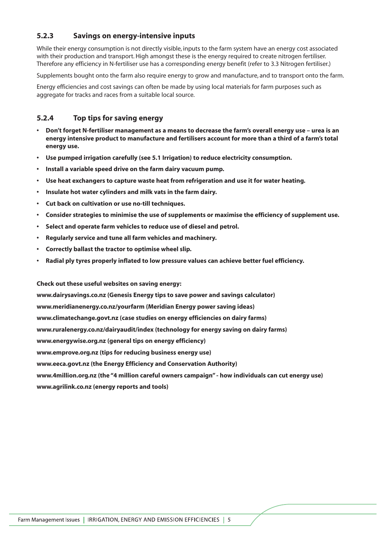#### **5.2.3 Savings on energy-intensive inputs**

While their energy consumption is not directly visible, inputs to the farm system have an energy cost associated with their production and transport. High amongst these is the energy required to create nitrogen fertiliser. Therefore any efficiency in N-fertiliser use has a corresponding energy benefit (refer to 3.3 Nitrogen fertiliser.)

Supplements bought onto the farm also require energy to grow and manufacture, and to transport onto the farm.

Energy efficiencies and cost savings can often be made by using local materials for farm purposes such as aggregate for tracks and races from a suitable local source.

#### **5.2.4 Top tips for saving energy**

- **Don't forget N-fertiliser management as a means to decrease the farm's overall energy use urea is an energy intensive product to manufacture and fertilisers account for more than a third of a farm's total energy use.**
- **Use pumped irrigation carefully (see 5.1 Irrigation) to reduce electricity consumption.**
- **Install a variable speed drive on the farm dairy vacuum pump.**
- **Use heat exchangers to capture waste heat from refrigeration and use it for water heating.**
- **Insulate hot water cylinders and milk vats in the farm dairy.**
- **Cut back on cultivation or use no-till techniques.**
- **Consider strategies to minimise the use of supplements or maximise the efficiency of supplement use.**
- **Select and operate farm vehicles to reduce use of diesel and petrol.**
- **Regularly service and tune all farm vehicles and machinery.**
- **Correctly ballast the tractor to optimise wheel slip.**
- **Radial ply tyres properly inflated to low pressure values can achieve better fuel efficiency.**

#### **Check out these useful websites on saving energy:**

**www.dairysavings.co.nz (Genesis Energy tips to save power and savings calculator) www.meridianenergy.co.nz/yourfarm (Meridian Energy power saving ideas) www.climatechange.govt.nz (case studies on energy efficiencies on dairy farms) www.ruralenergy.co.nz/dairyaudit/index (technology for energy saving on dairy farms) www.energywise.org.nz (general tips on energy efficiency) www.emprove.org.nz (tips for reducing business energy use) www.eeca.govt.nz (the Energy Efficiency and Conservation Authority) www.4million.org.nz (the "4 million careful owners campaign" - how individuals can cut energy use) www.agrilink.co.nz (energy reports and tools)**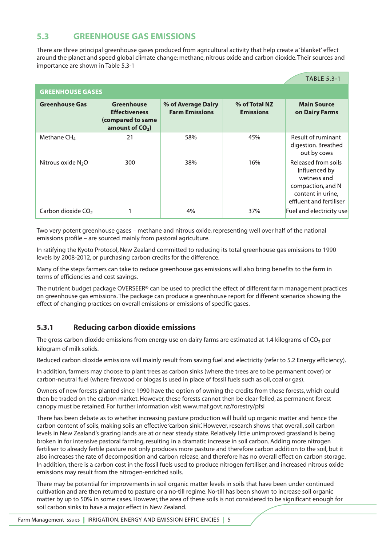## **5.3 GREENHOUSE GAS EMISSIONS**

There are three principal greenhouse gases produced from agricultural activity that help create a 'blanket' effect around the planet and speed global climate change: methane, nitrous oxide and carbon dioxide. Their sources and importance are shown in Table 5.3-1

|                                |                                                                                     |                                             |                                   | <b>TABLE 5.3-1</b>                                                                                                       |
|--------------------------------|-------------------------------------------------------------------------------------|---------------------------------------------|-----------------------------------|--------------------------------------------------------------------------------------------------------------------------|
| <b>GREENHOUSE GASES</b>        |                                                                                     |                                             |                                   |                                                                                                                          |
| <b>Greenhouse Gas</b>          | <b>Greenhouse</b><br><b>Effectiveness</b><br>(compared to same<br>amount of $CO2$ ) | % of Average Dairy<br><b>Farm Emissions</b> | % of Total NZ<br><b>Emissions</b> | <b>Main Source</b><br>on Dairy Farms                                                                                     |
| Methane $CH4$                  | 21                                                                                  | 58%                                         | 45%                               | Result of ruminant<br>digestion. Breathed<br>out by cows                                                                 |
| Nitrous oxide $N_2O$           | 300                                                                                 | 38%                                         | 16%                               | Released from soils<br>Influenced by<br>wetness and<br>compaction, and N<br>content in urine,<br>effluent and fertiliser |
| Carbon dioxide CO <sub>2</sub> |                                                                                     | 4%                                          | 37%                               | Fuel and electricity use                                                                                                 |

Two very potent greenhouse gases – methane and nitrous oxide, representing well over half of the national emissions profile – are sourced mainly from pastoral agriculture.

In ratifying the Kyoto Protocol, New Zealand committed to reducing its total greenhouse gas emissions to 1990 levels by 2008-2012, or purchasing carbon credits for the difference.

Many of the steps farmers can take to reduce greenhouse gas emissions will also bring benefits to the farm in terms of efficiencies and cost savings.

The nutrient budget package OVERSEER® can be used to predict the effect of different farm management practices on greenhouse gas emissions. The package can produce a greenhouse report for different scenarios showing the effect of changing practices on overall emissions or emissions of specific gases.

#### **5.3.1 Reducing carbon dioxide emissions**

The gross carbon dioxide emissions from energy use on dairy farms are estimated at 1.4 kilograms of  $CO<sub>2</sub>$  per kilogram of milk solids.

Reduced carbon dioxide emissions will mainly result from saving fuel and electricity (refer to 5.2 Energy efficiency).

In addition, farmers may choose to plant trees as carbon sinks (where the trees are to be permanent cover) or carbon-neutral fuel (where firewood or biogas is used in place of fossil fuels such as oil, coal or gas).

Owners of new forests planted since 1990 have the option of owning the credits from those forests, which could then be traded on the carbon market. However, these forests cannot then be clear-felled, as permanent forest canopy must be retained. For further information visit www.maf.govt.nz/forestry/pfsi

There has been debate as to whether increasing pasture production will build up organic matter and hence the carbon content of soils, making soils an effective 'carbon sink'. However, research shows that overall, soil carbon levels in New Zealand's grazing lands are at or near steady state. Relatively little unimproved grassland is being broken in for intensive pastoral farming, resulting in a dramatic increase in soil carbon. Adding more nitrogen fertiliser to already fertile pasture not only produces more pasture and therefore carbon addition to the soil, but it also increases the rate of decomposition and carbon release, and therefore has no overall effect on carbon storage. In addition, there is a carbon cost in the fossil fuels used to produce nitrogen fertiliser, and increased nitrous oxide emissions may result from the nitrogen-enriched soils.

There may be potential for improvements in soil organic matter levels in soils that have been under continued cultivation and are then returned to pasture or a no-till regime. No-till has been shown to increase soil organic matter by up to 50% in some cases. However, the area of these soils is not considered to be significant enough for soil carbon sinks to have a major effect in New Zealand.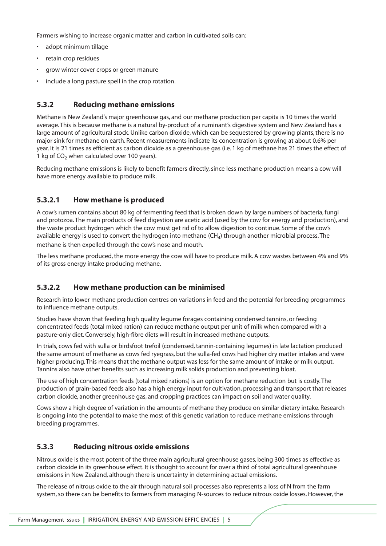Farmers wishing to increase organic matter and carbon in cultivated soils can:

- adopt minimum tillage
- retain crop residues
- grow winter cover crops or green manure
- include a long pasture spell in the crop rotation.

#### **5.3.2 Reducing methane emissions**

Methane is New Zealand's major greenhouse gas, and our methane production per capita is 10 times the world average. This is because methane is a natural by-product of a ruminant's digestive system and New Zealand has a large amount of agricultural stock. Unlike carbon dioxide, which can be sequestered by growing plants, there is no major sink for methane on earth. Recent measurements indicate its concentration is growing at about 0.6% per year. It is 21 times as efficient as carbon dioxide as a greenhouse gas (i.e. 1 kg of methane has 21 times the effect of 1 kg of  $CO<sub>2</sub>$  when calculated over 100 years).

Reducing methane emissions is likely to benefit farmers directly, since less methane production means a cow will have more energy available to produce milk.

#### **5.3.2.1 How methane is produced**

A cow's rumen contains about 80 kg of fermenting feed that is broken down by large numbers of bacteria, fungi and protozoa. The main products of feed digestion are acetic acid (used by the cow for energy and production), and the waste product hydrogen which the cow must get rid of to allow digestion to continue. Some of the cow's available energy is used to convert the hydrogen into methane  $(CH<sub>4</sub>)$  through another microbial process. The methane is then expelled through the cow's nose and mouth.

The less methane produced, the more energy the cow will have to produce milk. A cow wastes between 4% and 9% of its gross energy intake producing methane.

## **5.3.2.2 How methane production can be minimised**

Research into lower methane production centres on variations in feed and the potential for breeding programmes to influence methane outputs.

Studies have shown that feeding high quality legume forages containing condensed tannins, or feeding concentrated feeds (total mixed ration) can reduce methane output per unit of milk when compared with a pasture-only diet. Conversely, high-fibre diets will result in increased methane outputs.

In trials, cows fed with sulla or birdsfoot trefoil (condensed, tannin-containing legumes) in late lactation produced the same amount of methane as cows fed ryegrass, but the sulla-fed cows had higher dry matter intakes and were higher producing. This means that the methane output was less for the same amount of intake or milk output. Tannins also have other benefits such as increasing milk solids production and preventing bloat.

The use of high concentration feeds (total mixed rations) is an option for methane reduction but is costly. The production of grain-based feeds also has a high energy input for cultivation, processing and transport that releases carbon dioxide, another greenhouse gas, and cropping practices can impact on soil and water quality.

Cows show a high degree of variation in the amounts of methane they produce on similar dietary intake. Research is ongoing into the potential to make the most of this genetic variation to reduce methane emissions through breeding programmes.

#### **5.3.3 Reducing nitrous oxide emissions**

Nitrous oxide is the most potent of the three main agricultural greenhouse gases, being 300 times as effective as carbon dioxide in its greenhouse effect. It is thought to account for over a third of total agricultural greenhouse emissions in New Zealand, although there is uncertainty in determining actual emissions.

The release of nitrous oxide to the air through natural soil processes also represents a loss of N from the farm system, so there can be benefits to farmers from managing N-sources to reduce nitrous oxide losses. However, the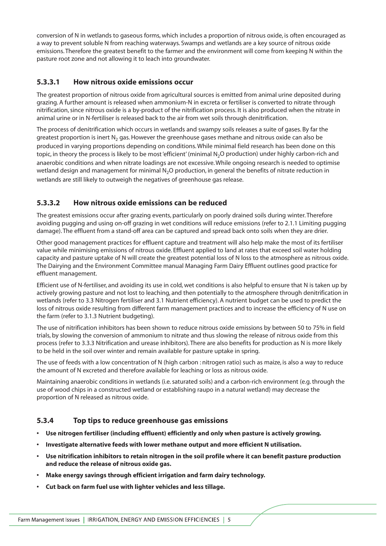conversion of N in wetlands to gaseous forms, which includes a proportion of nitrous oxide, is often encouraged as a way to prevent soluble N from reaching waterways. Swamps and wetlands are a key source of nitrous oxide emissions. Therefore the greatest benefit to the farmer and the environment will come from keeping N within the pasture root zone and not allowing it to leach into groundwater.

#### **5.3.3.1 How nitrous oxide emissions occur**

The greatest proportion of nitrous oxide from agricultural sources is emitted from animal urine deposited during grazing. A further amount is released when ammonium-N in excreta or fertiliser is converted to nitrate through nitrification, since nitrous oxide is a by-product of the nitrification process. It is also produced when the nitrate in animal urine or in N-fertiliser is released back to the air from wet soils through denitrification.

The process of denitrification which occurs in wetlands and swampy soils releases a suite of gases. By far the greatest proportion is inert  $N_2$  gas. However the greenhouse gases methane and nitrous oxide can also be produced in varying proportions depending on conditions. While minimal field research has been done on this topic, in theory the process is likely to be most 'efficient' (minimal N<sub>2</sub>O production) under highly carbon-rich and anaerobic conditions and when nitrate loadings are not excessive. While ongoing research is needed to optimise wetland design and management for minimal N<sub>2</sub>O production, in general the benefits of nitrate reduction in wetlands are still likely to outweigh the negatives of greenhouse gas release.

## **5.3.3.2 How nitrous oxide emissions can be reduced**

The greatest emissions occur after grazing events, particularly on poorly drained soils during winter. Therefore avoiding pugging and using on-off grazing in wet conditions will reduce emissions (refer to 2.1.1 Limiting pugging damage). The effluent from a stand-off area can be captured and spread back onto soils when they are drier.

Other good management practices for effluent capture and treatment will also help make the most of its fertiliser value while minimising emissions of nitrous oxide. Effluent applied to land at rates that exceed soil water holding capacity and pasture uptake of N will create the greatest potential loss of N loss to the atmosphere as nitrous oxide. The Dairying and the Environment Committee manual Managing Farm Dairy Effluent outlines good practice for effluent management.

Efficient use of N-fertiliser, and avoiding its use in cold, wet conditions is also helpful to ensure that N is taken up by actively growing pasture and not lost to leaching, and then potentially to the atmosphere through denitrification in wetlands (refer to 3.3 Nitrogen fertiliser and 3.1 Nutrient efficiency). A nutrient budget can be used to predict the loss of nitrous oxide resulting from different farm management practices and to increase the efficiency of N use on the farm (refer to 3.1.3 Nutrient budgeting).

The use of nitrification inhibitors has been shown to reduce nitrous oxide emissions by between 50 to 75% in field trials, by slowing the conversion of ammonium to nitrate and thus slowing the release of nitrous oxide from this process (refer to 3.3.3 Nitrification and urease inhibitors). There are also benefits for production as N is more likely to be held in the soil over winter and remain available for pasture uptake in spring.

The use of feeds with a low concentration of N (high carbon : nitrogen ratio) such as maize, is also a way to reduce the amount of N excreted and therefore available for leaching or loss as nitrous oxide.

Maintaining anaerobic conditions in wetlands (i.e. saturated soils) and a carbon-rich environment (e.g. through the use of wood chips in a constructed wetland or establishing raupo in a natural wetland) may decrease the proportion of N released as nitrous oxide.

#### **5.3.4 Top tips to reduce greenhouse gas emissions**

- **Use nitrogen fertiliser (including effluent) efficiently and only when pasture is actively growing.**
- **Investigate alternative feeds with lower methane output and more efficient N utilisation.**
- **Use nitrification inhibitors to retain nitrogen in the soil profile where it can benefit pasture production and reduce the release of nitrous oxide gas.**
- **Make energy savings through efficient irrigation and farm dairy technology.**
- **Cut back on farm fuel use with lighter vehicles and less tillage.**